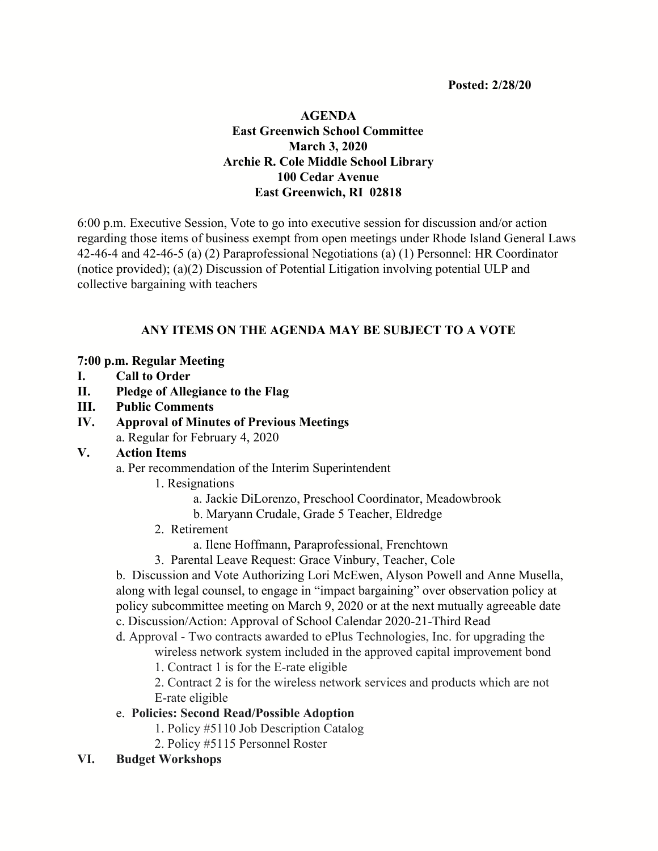**Posted: 2/28/20**

# **AGENDA East Greenwich School Committee March 3, 2020 Archie R. Cole Middle School Library 100 Cedar Avenue East Greenwich, RI 02818**

6:00 p.m. Executive Session, Vote to go into executive session for discussion and/or action regarding those items of business exempt from open meetings under Rhode Island General Laws 42-46-4 and 42-46-5 (a) (2) Paraprofessional Negotiations (a) (1) Personnel: HR Coordinator (notice provided); (a)(2) Discussion of Potential Litigation involving potential ULP and collective bargaining with teachers

# **ANY ITEMS ON THE AGENDA MAY BE SUBJECT TO A VOTE**

#### **7:00 p.m. Regular Meeting**

- **I. Call to Order**
- **II. Pledge of Allegiance to the Flag**
- **III. Public Comments**
- **IV. Approval of Minutes of Previous Meetings** a. Regular for February 4, 2020
	-
- **V. Action Items**

a. Per recommendation of the Interim Superintendent

- 1. Resignations
	- a. Jackie DiLorenzo, Preschool Coordinator, Meadowbrook
	- b. Maryann Crudale, Grade 5 Teacher, Eldredge
- 2. Retirement
	- a. Ilene Hoffmann, Paraprofessional, Frenchtown
- 3. Parental Leave Request: Grace Vinbury, Teacher, Cole

b. Discussion and Vote Authorizing Lori McEwen, Alyson Powell and Anne Musella, along with legal counsel, to engage in "impact bargaining" over observation policy at policy subcommittee meeting on March 9, 2020 or at the next mutually agreeable date c. Discussion/Action: Approval of School Calendar 2020-21-Third Read

d. Approval - Two contracts awarded to ePlus Technologies, Inc. for upgrading the

wireless network system included in the approved capital improvement bond

1. Contract 1 is for the E-rate eligible

2. Contract 2 is for the wireless network services and products which are not E-rate eligible

- e. **Policies: Second Read/Possible Adoption**
	- 1. Policy #5110 Job Description Catalog
	- 2. Policy #5115 Personnel Roster
- **VI. Budget Workshops**